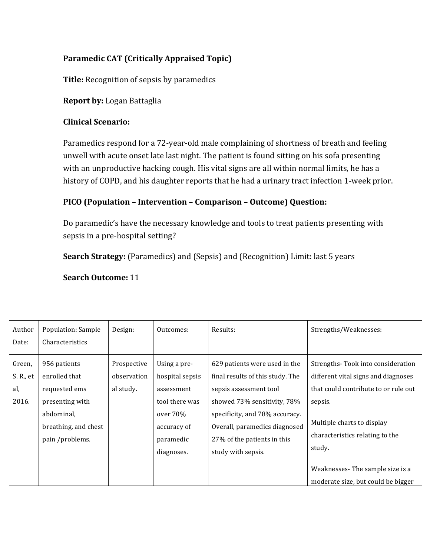## **Paramedic CAT (Critically Appraised Topic)**

**Title:** Recognition of sepsis by paramedics

## **Report by: Logan Battaglia**

## **Clinical Scenario:**

Paramedics respond for a 72-year-old male complaining of shortness of breath and feeling unwell with acute onset late last night. The patient is found sitting on his sofa presenting with an unproductive hacking cough. His vital signs are all within normal limits, he has a history of COPD, and his daughter reports that he had a urinary tract infection 1-week prior.

# **PICO (Population – Intervention – Comparison – Outcome) Question:**

Do paramedic's have the necessary knowledge and tools to treat patients presenting with sepsis in a pre-hospital setting?

**Search Strategy:** (Paramedics) and (Sepsis) and (Recognition) Limit: last 5 years

#### **Search Outcome:** 11

| Author    | Population: Sample   | Design:     | Outcomes:       | Results:                         | Strengths/Weaknesses:                |
|-----------|----------------------|-------------|-----------------|----------------------------------|--------------------------------------|
| Date:     | Characteristics      |             |                 |                                  |                                      |
| Green,    | 956 patients         | Prospective | Using a pre-    | 629 patients were used in the    | Strengths-Took into consideration    |
| S. R., et | enrolled that        | observation | hospital sepsis | final results of this study. The | different vital signs and diagnoses  |
| al,       | requested ems        | al study.   | assessment      | sepsis assessment tool           | that could contribute to or rule out |
| 2016.     | presenting with      |             | tool there was  | showed 73% sensitivity, 78%      | sepsis.                              |
|           | abdominal,           |             | over $70%$      | specificity, and 78% accuracy.   |                                      |
|           | breathing, and chest |             | accuracy of     | Overall, paramedics diagnosed    | Multiple charts to display           |
|           | pain /problems.      |             | paramedic       | 27% of the patients in this      | characteristics relating to the      |
|           |                      |             | diagnoses.      | study with sepsis.               | study.                               |
|           |                      |             |                 |                                  | Weaknesses-The sample size is a      |
|           |                      |             |                 |                                  | moderate size, but could be bigger   |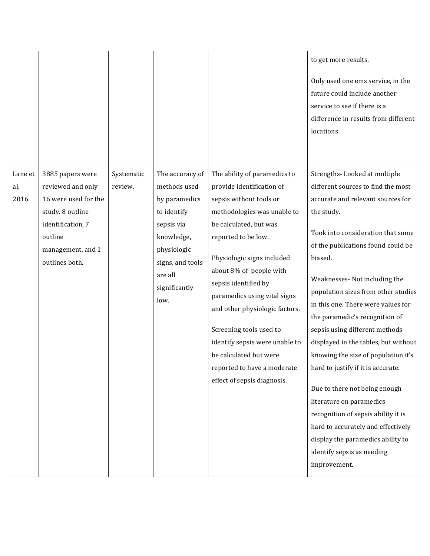|                         |                                                                                                                                                          |                       |                                                                                                                                                                    |                                                                                                                                                                                                                                                                                                                                                                                                                                                                              | to get more results.<br>Only used one ems service, in the<br>future could include another<br>service to see if there is a<br>difference in results from different<br>locations.                                                                                                                                                                                                                                                                                                                                                                                                                                                                                                                                                                 |
|-------------------------|----------------------------------------------------------------------------------------------------------------------------------------------------------|-----------------------|--------------------------------------------------------------------------------------------------------------------------------------------------------------------|------------------------------------------------------------------------------------------------------------------------------------------------------------------------------------------------------------------------------------------------------------------------------------------------------------------------------------------------------------------------------------------------------------------------------------------------------------------------------|-------------------------------------------------------------------------------------------------------------------------------------------------------------------------------------------------------------------------------------------------------------------------------------------------------------------------------------------------------------------------------------------------------------------------------------------------------------------------------------------------------------------------------------------------------------------------------------------------------------------------------------------------------------------------------------------------------------------------------------------------|
| Lane et<br>al,<br>2016. | 3885 papers were<br>reviewed and only<br>16 were used for the<br>study. 8 outline<br>identification, 7<br>outline<br>management, and 1<br>outlines both. | Systematic<br>review. | The accuracy of<br>methods used<br>by paramedics<br>to identify<br>sepsis via<br>knowledge,<br>physiologic<br>signs, and tools<br>are all<br>significantly<br>low. | The ability of paramedics to<br>provide identification of<br>sepsis without tools or<br>methodologies was unable to<br>be calculated, but was<br>reported to be low.<br>Physiologic signs included<br>about 8% of people with<br>sepsis identified by<br>paramedics using vital signs<br>and other physiologic factors.<br>Screening tools used to<br>identify sepsis were unable to<br>be calculated but were<br>reported to have a moderate<br>effect of sepsis diagnosis. | Strengths-Looked at multiple<br>different sources to find the most<br>accurate and relevant sources for<br>the study.<br>Took into consideration that some<br>of the publications found could be<br>biased.<br>Weaknesses- Not including the<br>population sizes from other studies<br>in this one. There were values for<br>the paramedic's recognition of<br>sepsis using different methods<br>displayed in the tables, but without<br>knowing the size of population it's<br>hard to justify if it is accurate.<br>Due to there not being enough<br>literature on paramedics<br>recognition of sepsis ability it is<br>hard to accurately and effectively<br>display the paramedics ability to<br>identify sepsis as needing<br>improvement. |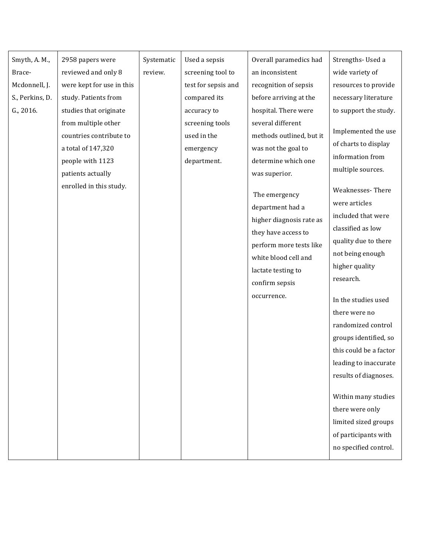| Smyth, A. M.,<br>2958 papers were<br>Systematic<br>Used a sepsis<br>reviewed and only 8<br>review.<br>screening tool to<br>an inconsistent<br>Brace-<br>Mcdonnell, J.<br>were kept for use in this<br>test for sepsis and<br>recognition of sepsis<br>S., Perkins, D.<br>study. Patients from<br>before arriving at the<br>compared its<br>G., 2016.<br>studies that originate<br>hospital. There were<br>accuracy to<br>several different<br>from multiple other<br>screening tools<br>countries contribute to<br>used in the<br>was not the goal to<br>a total of 147,320<br>emergency<br>department.<br>determine which one<br>people with 1123<br>patients actually<br>was superior.<br>enrolled in this study.<br>The emergency<br>department had a<br>they have access to<br>white blood cell and<br>lactate testing to<br>confirm sepsis<br>occurrence. |                                                                                                                                                                                                                                                                                                                                                                                                                                                                                                      |
|----------------------------------------------------------------------------------------------------------------------------------------------------------------------------------------------------------------------------------------------------------------------------------------------------------------------------------------------------------------------------------------------------------------------------------------------------------------------------------------------------------------------------------------------------------------------------------------------------------------------------------------------------------------------------------------------------------------------------------------------------------------------------------------------------------------------------------------------------------------|------------------------------------------------------------------------------------------------------------------------------------------------------------------------------------------------------------------------------------------------------------------------------------------------------------------------------------------------------------------------------------------------------------------------------------------------------------------------------------------------------|
|                                                                                                                                                                                                                                                                                                                                                                                                                                                                                                                                                                                                                                                                                                                                                                                                                                                                | Overall paramedics had<br>Strengths-Used a                                                                                                                                                                                                                                                                                                                                                                                                                                                           |
|                                                                                                                                                                                                                                                                                                                                                                                                                                                                                                                                                                                                                                                                                                                                                                                                                                                                | wide variety of                                                                                                                                                                                                                                                                                                                                                                                                                                                                                      |
|                                                                                                                                                                                                                                                                                                                                                                                                                                                                                                                                                                                                                                                                                                                                                                                                                                                                | resources to provide                                                                                                                                                                                                                                                                                                                                                                                                                                                                                 |
|                                                                                                                                                                                                                                                                                                                                                                                                                                                                                                                                                                                                                                                                                                                                                                                                                                                                | necessary literature                                                                                                                                                                                                                                                                                                                                                                                                                                                                                 |
|                                                                                                                                                                                                                                                                                                                                                                                                                                                                                                                                                                                                                                                                                                                                                                                                                                                                | to support the study.                                                                                                                                                                                                                                                                                                                                                                                                                                                                                |
|                                                                                                                                                                                                                                                                                                                                                                                                                                                                                                                                                                                                                                                                                                                                                                                                                                                                |                                                                                                                                                                                                                                                                                                                                                                                                                                                                                                      |
|                                                                                                                                                                                                                                                                                                                                                                                                                                                                                                                                                                                                                                                                                                                                                                                                                                                                | Implemented the use<br>methods outlined, but it                                                                                                                                                                                                                                                                                                                                                                                                                                                      |
|                                                                                                                                                                                                                                                                                                                                                                                                                                                                                                                                                                                                                                                                                                                                                                                                                                                                | of charts to display                                                                                                                                                                                                                                                                                                                                                                                                                                                                                 |
|                                                                                                                                                                                                                                                                                                                                                                                                                                                                                                                                                                                                                                                                                                                                                                                                                                                                | information from                                                                                                                                                                                                                                                                                                                                                                                                                                                                                     |
|                                                                                                                                                                                                                                                                                                                                                                                                                                                                                                                                                                                                                                                                                                                                                                                                                                                                | multiple sources.                                                                                                                                                                                                                                                                                                                                                                                                                                                                                    |
|                                                                                                                                                                                                                                                                                                                                                                                                                                                                                                                                                                                                                                                                                                                                                                                                                                                                | Weaknesses-There<br>were articles<br>included that were<br>higher diagnosis rate as<br>classified as low<br>quality due to there<br>perform more tests like<br>not being enough<br>higher quality<br>research.<br>In the studies used<br>there were no<br>randomized control<br>groups identified, so<br>this could be a factor<br>leading to inaccurate<br>results of diagnoses.<br>Within many studies<br>there were only<br>limited sized groups<br>of participants with<br>no specified control. |